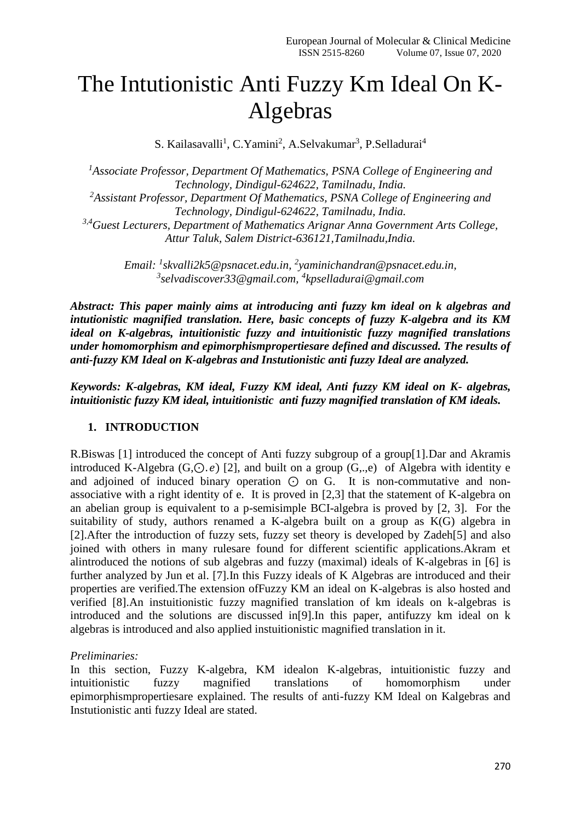# The Intutionistic Anti Fuzzy Km Ideal On K-Algebras

S. Kailasavalli<sup>1</sup>, C.Yamini<sup>2</sup>, A.Selvakumar<sup>3</sup>, P.Selladurai<sup>4</sup>

*<sup>1</sup>Associate Professor, Department Of Mathematics, PSNA College of Engineering and Technology, Dindigul-624622, Tamilnadu, India. <sup>2</sup>Assistant Professor, Department Of Mathematics, PSNA College of Engineering and Technology, Dindigul-624622, Tamilnadu, India. 3,4Guest Lecturers, Department of Mathematics Arignar Anna Government Arts College, Attur Taluk, Salem District-636121,Tamilnadu,India.*

> *Email: <sup>1</sup> [skvalli2k5@psnacet.edu.in,](mailto:skvalli2k5@psnacet.edu.in) 2 yaminichandran@psnacet.edu.in, 3 [selvadiscover33@gmail.com,](mailto:3selvadiscover33@gmail.com) 4 kpselladurai@gmail.com*

*Abstract: This paper mainly aims at introducing anti fuzzy km ideal on k algebras and intutionistic magnified translation. Here, basic concepts of fuzzy K-algebra and its KM ideal on K-algebras, intuitionistic fuzzy and intuitionistic fuzzy magnified translations under homomorphism and epimorphismpropertiesare defined and discussed. The results of anti-fuzzy KM Ideal on K-algebras and Instutionistic anti fuzzy Ideal are analyzed.* 

*Keywords: K-algebras, KM ideal, Fuzzy KM ideal, Anti fuzzy KM ideal on K- algebras, intuitionistic fuzzy KM ideal, intuitionistic anti fuzzy magnified translation of KM ideals.*

#### **1. INTRODUCTION**

R.Biswas [1] introduced the concept of Anti fuzzy subgroup of a group[1].Dar and Akramis introduced K-Algebra (G, $\odot$ , e) [2], and built on a group (G,.,e) of Algebra with identity e and adjoined of induced binary operation ⊙ on G. It is non-commutative and nonassociative with a right identity of e. It is proved in [2,3] that the statement of K-algebra on an abelian group is equivalent to a p-semisimple BCI-algebra is proved by [2, 3]. For the suitability of study, authors renamed a K-algebra built on a group as K(G) algebra in [2].After the introduction of fuzzy sets, fuzzy set theory is developed by Zadeh[5] and also joined with others in many rulesare found for different scientific applications.Akram et alintroduced the notions of sub algebras and fuzzy (maximal) ideals of K-algebras in [6] is further analyzed by Jun et al. [7].In this Fuzzy ideals of K Algebras are introduced and their properties are verified.The extension ofFuzzy KM an ideal on K-algebras is also hosted and verified [8].An instuitionistic fuzzy magnified translation of km ideals on k-algebras is introduced and the solutions are discussed in[9].In this paper, antifuzzy km ideal on k algebras is introduced and also applied instuitionistic magnified translation in it.

#### *Preliminaries:*

In this section, Fuzzy K-algebra, KM idealon K-algebras, intuitionistic fuzzy and intuitionistic fuzzy magnified translations of homomorphism under epimorphismpropertiesare explained. The results of anti-fuzzy KM Ideal on Kalgebras and Instutionistic anti fuzzy Ideal are stated.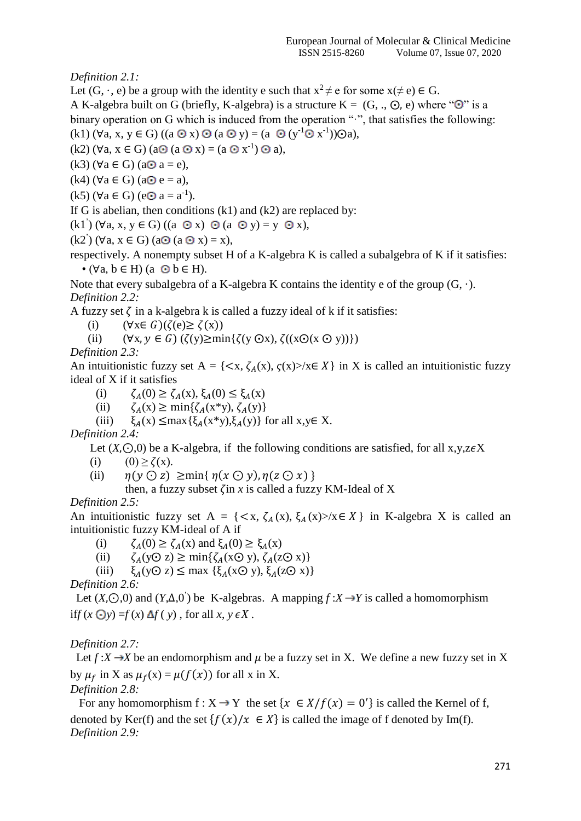*Definition 2.1:*

Let  $(G, \cdot, e)$  be a group with the identity e such that  $x^2 \neq e$  for some  $x(\neq e) \in G$ .

A K-algebra built on G (briefly, K-algebra) is a structure  $K = (G, ., \odot, e)$  where " $\odot$ " is a binary operation on G which is induced from the operation "·", that satisfies the following:  $(k1)$  ( $\forall$ a, x,  $y \in G$ ) ((a  $\odot$  x)  $\odot$  (a  $\odot$  y) = (a  $\odot$  (y<sup>-1</sup> $\odot$  x<sup>-1</sup>)) $\odot$ a),

 $(k2)$  ( $\forall$ a,  $x \in G$ ) (a $\odot$  (a $\odot$  x) = (a $\odot$  x<sup>-1</sup>)  $\odot$  a),

 $(k3)$  ( $\forall$ a  $\in$  G) (a $\odot$  a = e),

 $(k4)$  ( $\forall$ a ∈ G) (a $\odot$  e = a),

 $(k5)$  (∀a ∈ G) (e⊙ a = a<sup>-1</sup>).

If G is abelian, then conditions  $(k1)$  and  $(k2)$  are replaced by:

 $(k1)$  ( $\forall$ a, x, y  $\in$  G) ((a  $\odot$  x)  $\odot$  (a  $\odot$  y) = y  $\odot$  x),

 $(k2)$   $(\forall a, x \in G)$   $(a \odot (a \odot x) = x)$ ,

respectively. A nonempty subset H of a K-algebra K is called a subalgebra of K if it satisfies:  $\bullet$  ( $\forall$ a,  $b \in H$ ) (a  $\odot$   $b \in H$ ).

Note that every subalgebra of a K-algebra K contains the identity e of the group  $(G, \cdot)$ . *Definition 2.2:*

A fuzzy set  $\zeta$  in a k-algebra k is called a fuzzy ideal of k if it satisfies:

- (i)  $(\forall x \in G)(\zeta(e) \geq \zeta(x))$
- (ii)  $(\forall x, y \in G) (\zeta(y) \ge \min{\{\zeta(y \odot x), \zeta((x \odot (x \odot y))\})}$

*Definition 2.3:*

An intuitionistic fuzzy set A = { $\langle x, \zeta_A(x), \zeta(x) \rangle / x \in X$ } in X is called an intuitionistic fuzzy ideal of X if it satisfies

(i)  $\zeta_A(0) \geq \zeta_A(x), \xi_A(0) \leq \xi_A(x)$ 

(ii)  $\zeta_A(x) \ge \min\{\zeta_A(x*y), \zeta_A(y)\}\$ 

(iii)  $\xi_A(x) \leq \max{\{\xi_A(x*y),\xi_A(y)\}}$  for all  $x,y \in X$ .

*Definition 2.4:*

Let  $(X, \bigcirc, 0)$  be a K-algebra, if the following conditions are satisfied, for all x,y,z $\epsilon X$ 

(i)  $(0) \ge \zeta(x)$ .

(ii)  $\eta(\gamma \bigcirc z) \geq \min\{ \eta(x \bigcirc \gamma), \eta(z \bigcirc x) \}$ 

then, a fuzzy subset  $\zeta$  in x is called a fuzzy KM-Ideal of X

*Definition 2.5:*

An intuitionistic fuzzy set A = { $\langle x, \zeta_A(x), \xi_A(x)\rangle$  /x  $\in X$ } in K-algebra X is called an intuitionistic fuzzy KM-ideal of A if

- (i)  $\zeta_A(0) \geq \zeta_A(x)$  and  $\xi_A(0) \geq \xi_A(x)$
- (ii)  $\zeta_A(y\odot z) \ge \min\{\zeta_A(x\odot y), \zeta_A(z\odot x)\}\$
- (iii)  $\xi_A(y\odot z) \le \max\{\xi_A(x\odot y), \xi_A(z\odot x)\}\$

*Definition 2.6:*

Let  $(X, \odot, 0)$  and  $(Y, \Delta, 0)$  be K-algebras. A mapping  $f : X \rightarrow Y$  is called a homomorphism if  $f(x \bigcirc y) = f(x) \Delta f(y)$ , for all  $x, y \in X$ .

## *Definition 2.7:*

Let  $f: X \rightarrow X$  be an endomorphism and  $\mu$  be a fuzzy set in X. We define a new fuzzy set in X by  $\mu_f$  in X as  $\mu_f(x) = \mu(f(x))$  for all x in X.

*Definition 2.8:*

For any homomorphism  $f: X \to Y$  the set  $\{x \in X/f(x) = 0'\}$  is called the Kernel of f, denoted by Ker(f) and the set  $\{f(x)/x \in X\}$  is called the image of f denoted by Im(f). *Definition 2.9:*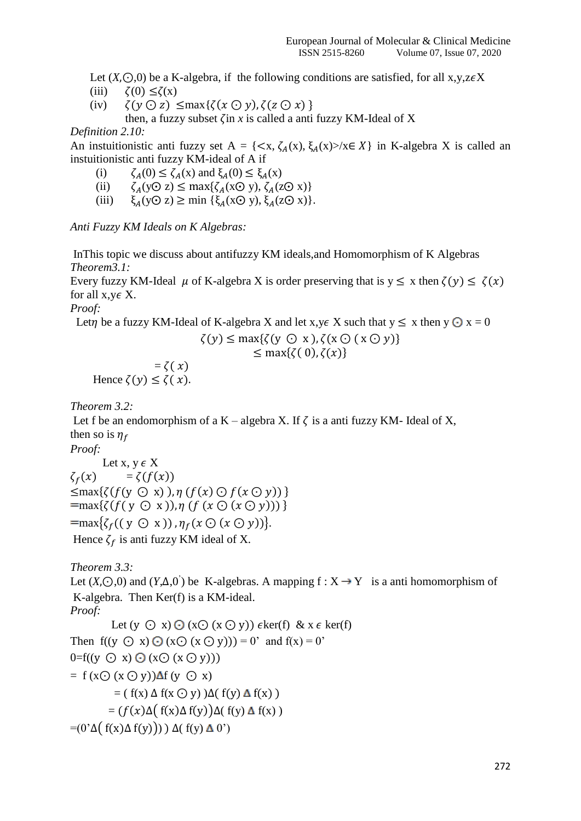Let  $(X, \bigcirc, 0)$  be a K-algebra, if the following conditions are satisfied, for all x,y,z $\epsilon X$ 

- (iii)  $\zeta(0) \leq \zeta(x)$
- (iv)  $\zeta(y \bigcirc z) \leq \max\{\zeta(x \bigcirc y), \zeta(z \bigcirc x)\}\$

then, a fuzzy subset  $\zeta$  in *x* is called a anti fuzzy KM-Ideal of X

*Definition 2.10:*

An instuitionistic anti-tuzzy set  $A = \{ \langle x, \zeta_A(x), \xi_A(x) \rangle / x \in X \}$  in K-algebra X is called an instuitionistic anti fuzzy KM-ideal of A if

- (i)  $\zeta_A(0) \leq \zeta_A(x)$  and  $\xi_A(0) \leq \xi_A(x)$
- (ii)  $\zeta_A(y\odot z) \le \max\{\zeta_A(x\odot y), \zeta_A(z\odot x)\}\$
- (iii)  $\xi_A(y\odot z) \ge \min\{\xi_A(x\odot y), \xi_A(z\odot x)\}.$

*Anti Fuzzy KM Ideals on K Algebras:*

InThis topic we discuss about antifuzzy KM ideals,and Homomorphism of K Algebras *Theorem3.1:*

Every fuzzy KM-Ideal  $\mu$  of K-algebra X is order preserving that is  $y \le x$  then  $\zeta(y) \le \zeta(x)$ for all  $x, y \in X$ .

*Proof:* 

Let *p* be a fuzzy KM-Ideal of K-algebra X and let x,  $y \in X$  such that  $y \le x$  then  $y \odot x = 0$ 

$$
\zeta(y) \le \max\{\zeta(y \oplus x), \zeta(x \oplus (x \oplus y))\}
$$

$$
\leq \max\{\zeta(0),\zeta(x)\}\
$$

 $=\zeta(x)$ Hence  $\zeta(y) \leq \zeta(x)$ .

*Theorem 3.2:*

Let f be an endomorphism of a K – algebra X. If  $\zeta$  is a anti fuzzy KM- Ideal of X, then so is  $\eta_f$ 

*Proof:* 

```
Let x, y \in X\zeta_f(x) = \zeta(f(x))\leqmax{\{(f(y \odot x)), \eta(f(x) \odot f(x \odot y))\}=max{\{(f(y \odot x)), \eta (f (x \odot (x \odot y)))\}=max\{\zeta_f((y \odot x)), \eta_f(x \odot (x \odot y))\}.Hence \zeta_f is anti fuzzy KM ideal of X.
```
*Theorem 3.3:*

Let  $(X, \odot, 0)$  and  $(Y, \Delta, 0)$  be K-algebras. A mapping  $f : X \rightarrow Y$  is a anti homomorphism of K-algebra. Then Ker(f) is a KM-ideal. *Proof:*

Let  $(y \odot x) \odot (x \odot (x \odot y))$   $\epsilon$ ker(f) & x  $\epsilon$  ker(f) Then  $f((y \odot x) \odot (x \odot (x \odot y))) = 0'$  and  $f(x) = 0'$  $0=f((y \odot x) \odot (x \odot (x \odot y)))$  $= f(x \odot (x \odot y)) \Delta f(y \odot x)$  $= ( f(x) \Delta f(x \odot y) ) \Delta(f(y) \Delta f(x) )$  $= (f(x)\Delta(f(x)\Delta f(y))\Delta(f(y)\Delta f(x)))$  $= (0^{\prime} \Delta ( f(x) \Delta f(y))) \Delta ( f(y) \Delta 0^{\prime})$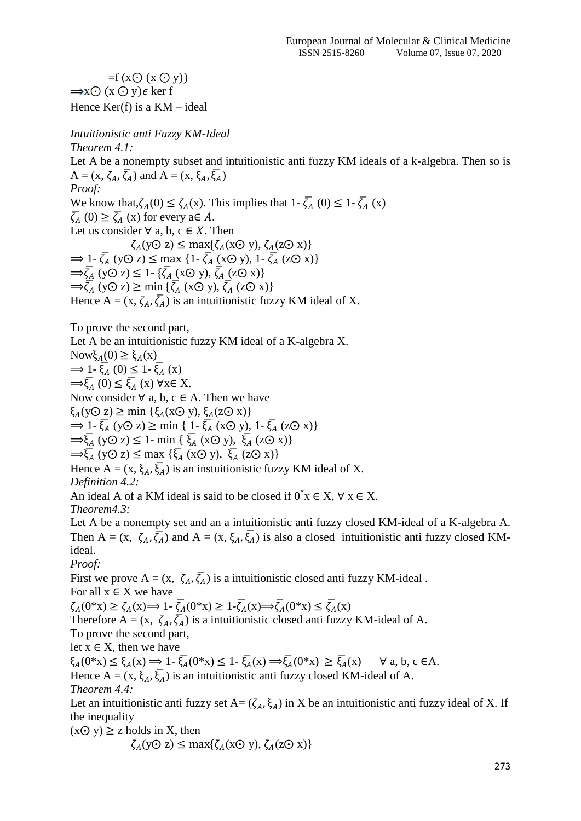$=f(xO(xO(y)))$  $\Rightarrow$ x $\odot$  (x  $\odot$  y) $\epsilon$  ker f Hence  $Ker(f)$  is a  $KM$  – ideal

*Intuitionistic anti Fuzzy KM-Ideal Theorem 4.1:* Let A be a nonempty subset and intuitionistic anti fuzzy KM ideals of a k-algebra. Then so is  $A = (x, \zeta_A, \overline{\zeta_A})$  and  $A = (x, \xi_A, \overline{\xi_A})$ *Proof:* We know that,  $\zeta_A(0) \leq \zeta_A(x)$ . This implies that  $1 - \overline{\zeta_A}(0) \leq 1 - \overline{\zeta_A}(x)$  $\overline{\zeta}_A(0) \ge \overline{\zeta}_A(x)$  for every  $a \in A$ . Let us consider  $\forall$  a, b, c  $\in$  X. Then  $\zeta_A(y\odot z) \leq \max\{\zeta_A(x\odot y), \zeta_A(z\odot x)\}$  $\Rightarrow$  1-  $\overline{\zeta_A}$  (yO z)  $\leq$  max {1-  $\overline{\zeta_A}$  (xO y), 1-  $\overline{\zeta_A}$  (zO x)}  $\Rightarrow \overline{\zeta}_A$  (yO z)  $\leq 1$ - { $\overline{\zeta}_A$  (xO y),  $\overline{\zeta}_A$  (zO x)}  $\Rightarrow \overline{\zeta}_A$  (yO z)  $\geq$  min { $\overline{\zeta}_A$  (xO y),  $\overline{\zeta}_A$  (zO x)} Hence  $A = (x, \zeta_A, \overline{\zeta_A})$  is an intuitionistic fuzzy KM ideal of X.

To prove the second part,

Let A be an intuitionistic fuzzy KM ideal of a K-algebra X.

Nowξ<sub>A</sub>(0)  $\geq$  ξ<sub>A</sub>(x)  $\Rightarrow$  1-  $\overline{\xi}_A(0) \leq 1 - \overline{\xi}_A(x)$  $\Rightarrow \overline{\xi}_A(0) \leq \overline{\xi}_A(x)$   $\forall x \in X$ . Now consider  $\forall$  a, b, c  $\in$  A. Then we have  $\xi_A(y\odot z) \ge \min\{\xi_A(x\odot y), \xi_A(z\odot x)\}\$  $\Rightarrow$  1-  $\overline{\xi}_A$  (y $\odot$  z)  $\geq$  min { 1-  $\overline{\xi}_A$  (x $\odot$  y), 1-  $\overline{\xi}_A$  (z $\odot$  x)}  $\Rightarrow \overline{\xi}_A$  (yO z)  $\leq$  1- min {  $\overline{\xi}_A$  (xO y),  $\overline{\xi}_A$  (zO x)}  $\Rightarrow \overline{\xi}_A$  (yO z)  $\leq$  max { $\overline{\xi}_A$  (xO y),  $\overline{\xi}_A$  (zO x)} Hence  $A = (x, \xi_A, \overline{\xi_A})$  is an instuitionistic fuzzy KM ideal of X. *Definition 4.2:* An ideal A of a KM ideal is said to be closed if  $0^*x \in X$ ,  $\forall x \in X$ .

*Theorem4.3:*

Let A be a nonempty set and an a intuitionistic anti fuzzy closed KM-ideal of a K-algebra A. Then A =  $(x, \zeta_A, \overline{\zeta_A})$  and A =  $(x, \xi_A, \overline{\xi_A})$  is also a closed intuitionistic anti fuzzy closed KMideal.

*Proof:*

First we prove A =  $(x, \zeta_A, \overline{\zeta_A})$  is a intuitionistic closed anti fuzzy KM-ideal. For all  $x \in X$  we have  $\zeta_A(0^*x) \ge \zeta_A(x) \Longrightarrow 1 - \overline{\zeta}_A(0^*x) \ge 1 - \overline{\zeta}_A(x) \Longrightarrow \overline{\zeta}_A(0^*x) \le \overline{\zeta}_A(x)$ Therefore A =  $(x, \zeta_A, \overline{\zeta_A})$  is a intuitionistic closed anti fuzzy KM-ideal of A. To prove the second part, let  $x \in X$ , then we have  $\xi_A(0^*x) \le \xi_A(x) \Longrightarrow 1-\overline{\xi}_A(0^*x) \le 1-\overline{\xi}_A(x) \Longrightarrow \overline{\xi}_A(0^*x) \ge \overline{\xi}_A(x) \quad \forall \text{ a, b, c} \in A.$ Hence A =  $(x, \xi_A, \overline{\xi_A})$  is an intuitionistic anti fuzzy closed KM-ideal of A. *Theorem 4.4:* Let an intuitionistic anti fuzzy set  $A = (\zeta_A, \xi_A)$  in X be an intuitionistic anti fuzzy ideal of X. If the inequality

 $(xQ \vee y) \geq z$  holds in X, then

$$
\zeta_A(y\odot z) \le \max\{\zeta_A(x\odot y), \zeta_A(z\odot x)\}
$$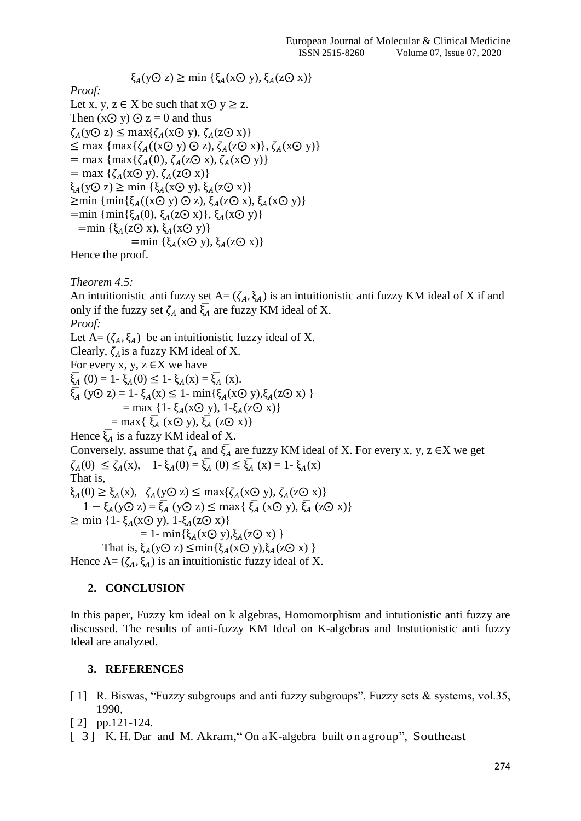*Proof:*

Let x, y,  $z \in X$  be such that  $x \odot y \geq z$ . Then  $(xQ \vee y) Q = 0$  and thus  $\zeta_A(y\odot z) \leq \max\{\zeta_A(x\odot y), \zeta_A(z\odot x)\}$  $\leq$  max { $\text{max}\{\zeta_A((x\odot y)\odot z), \zeta_A(z\odot x)\}, \zeta_A(x\odot y)\}$  $=$  max { $max\{\zeta_A(0), \zeta_A(z\odot x), \zeta_A(x\odot y)\}$  $=$  max { $\zeta_A(x\odot y), \zeta_A(z\odot x)$ }  $\xi_A(y\odot z) \ge \min \{\xi_A(x\odot y), \xi_A(z\odot x)\}\$  $\geq$ min { $\min{\{\xi_A((x\odot y)\odot z), \xi_A(z\odot x), \xi_A(x\odot y)\}}$ =min {min{ $\xi_A(0), \xi_A(z\odot x)$ },  $\xi_A(x\odot y)$ }  $=$ min { $\xi_A$ (z⊙ x),  $\xi_A$ (x⊙ y)} =min  $\{\xi_A(x\odot y), \xi_A(z\odot x)\}$ Hence the proof.

 $\xi_A(y\odot z) \ge \min\{\xi_A(x\odot y), \xi_A(z\odot x)\}$ 

*Theorem 4.5:*

An intuitionistic anti fuzzy set  $A = (\zeta_A, \xi_A)$  is an intuitionistic anti fuzzy KM ideal of X if and only if the fuzzy set  $\zeta_A$  and  $\overline{\zeta_A}$  are fuzzy KM ideal of X. *Proof:*

Let  $A = (\zeta_A, \xi_A)$  be an intuitionistic fuzzy ideal of X. Clearly,  $\zeta_A$  is a fuzzy KM ideal of X. For every x, y,  $z \in X$  we have  $\overline{\xi}_A(0) = 1 - \xi_A(0) \leq 1 - \xi_A(x) = \overline{\xi}_A(x)$ .  $\overline{\xi}_A$  (yO z) = 1-  $\xi_A(x) \le 1$ - min{ $\xi_A(x\odot y), \xi_A(z\odot x)$  } = max {1- $\xi_A$ (x $\odot$  y), 1- $\xi_A$ (z $\odot$  x)}  $=$  max{  $\xi_A$  (x( $\odot$  y),  $\xi_A$  (z $\odot$  x)} Hence  $\overline{\xi}_A$  is a fuzzy KM ideal of X. Conversely, assume that  $\zeta_A$  and  $\overline{\zeta_A}$  are fuzzy KM ideal of X. For every x, y, z  $\in$ X we get  $\zeta_A(0) \leq \zeta_A(x), \quad 1-\xi_A(0) = \overline{\xi_A}(0) \leq \overline{\xi_A}(x) = 1-\xi_A(x)$ That is,  $\xi_A(0) \geq \xi_A(x), \quad \zeta_A(y\odot z) \leq \max\{\zeta_A(x\odot y), \zeta_A(z\odot x)\}$ 1 –  $\xi_A$ (y⊙ z) =  $\xi_A$  (y⊙ z) ≤ max{  $\xi_A$  (x⊙ y),  $\xi_A$  (z⊙ x)}  $\geq$  min {1- ξ<sub>A</sub>(x⊙ y), 1-ξ<sub>A</sub>(z⊙ x)}  $= 1 - min{\xi_A(x\odot y), \xi_A(z\odot x)}$ That is,  $\xi_A(y\odot z) \leq \min\{\xi_A(x\odot y), \xi_A(z\odot x)\}$ 

Hence  $A = (\zeta_A, \xi_A)$  is an intuitionistic fuzzy ideal of X.

## **2. CONCLUSION**

In this paper, Fuzzy km ideal on k algebras, Homomorphism and intutionistic anti fuzzy are discussed. The results of anti-fuzzy KM Ideal on K-algebras and Instutionistic anti fuzzy Ideal are analyzed.

## **3. REFERENCES**

- [1] R. Biswas, "Fuzzy subgroups and anti fuzzy subgroups", Fuzzy sets & systems, vol.35, 1990,
- [2] pp.121-124.
- [ 3] K. H. Dar and M. Akram, "On a K-algebra built on a group", Southeast